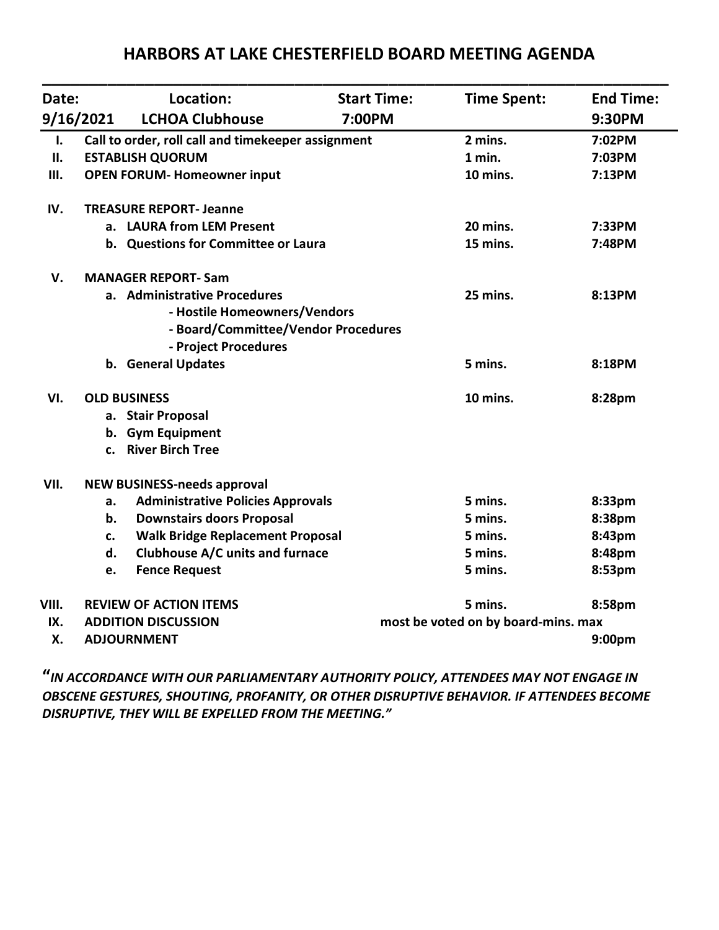# **\_\_\_\_\_\_\_\_\_\_\_\_\_\_\_\_\_\_\_\_\_\_\_\_\_\_\_\_\_\_\_\_\_\_\_\_\_\_\_\_\_\_\_\_\_\_\_\_\_\_\_\_\_\_\_\_\_\_\_\_\_\_\_\_\_\_\_ Date: Location: Start Time: Time Spent: End Time: 9/16/2021 LCHOA Clubhouse 7:00PM 9:30PM I. Call to order, roll call and timekeeper assignment 2 mins. 7:02PM II. ESTABLISH QUORUM 1 min. 7:03PM III. OPEN FORUM- Homeowner input 10 mins. 7:13PM IV. TREASURE REPORT- Jeanne a. LAURA from LEM Present 20 mins. 7:33PM b.** Questions for Committee or Laura 15 mins. 2:48PM **V. MANAGER REPORT- Sam a. Administrative Procedures 25 mins. 8:13PM - Hostile Homeowners/Vendors - Board/Committee/Vendor Procedures - Project Procedures b. General Updates 5 mins. 8:18PM VI. OLD BUSINESS 10 mins. 8:28pm a. Stair Proposal b. Gym Equipment c. River Birch Tree VII. NEW BUSINESS-needs approval a. Administrative Policies Approvals 5 mins. 8:33pm b. Downstairs doors Proposal 5 mins. 8:38pm c. Walk Bridge Replacement Proposal 5 mins. 8:43pm d. Clubhouse A/C units and furnace 5 mins. 8:48pm e. Fence Request 5 mins. 8:53pm VIII. REVIEW OF ACTION ITEMS 5 mins. 8:58pm IX. ADDITION DISCUSSION most be voted on by board-mins. max X. ADJOURNMENT 9:00pm**

## **HARBORS AT LAKE CHESTERFIELD BOARD MEETING AGENDA**

**"***IN ACCORDANCE WITH OUR PARLIAMENTARY AUTHORITY POLICY, ATTENDEES MAY NOT ENGAGE IN OBSCENE GESTURES, SHOUTING, PROFANITY, OR OTHER DISRUPTIVE BEHAVIOR. IF ATTENDEES BECOME DISRUPTIVE, THEY WILL BE EXPELLED FROM THE MEETING."*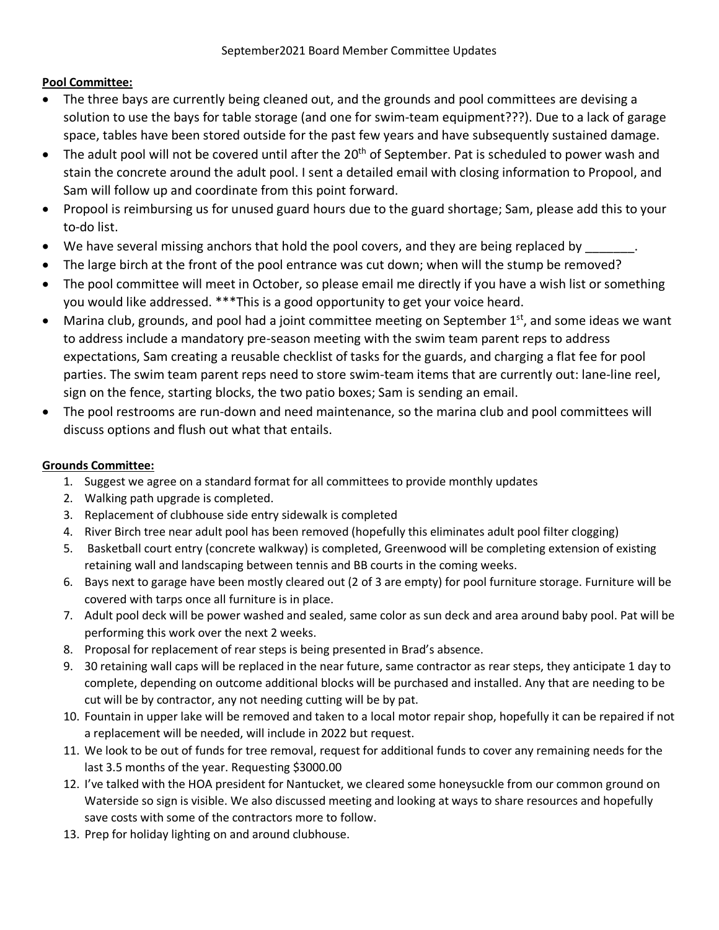## **Pool Committee:**

- The three bays are currently being cleaned out, and the grounds and pool committees are devising a solution to use the bays for table storage (and one for swim-team equipment???). Due to a lack of garage space, tables have been stored outside for the past few years and have subsequently sustained damage.
- $\bullet$  The adult pool will not be covered until after the 20<sup>th</sup> of September. Pat is scheduled to power wash and stain the concrete around the adult pool. I sent a detailed email with closing information to Propool, and Sam will follow up and coordinate from this point forward.
- Propool is reimbursing us for unused guard hours due to the guard shortage; Sam, please add this to your to-do list.
- We have several missing anchors that hold the pool covers, and they are being replaced by
- The large birch at the front of the pool entrance was cut down; when will the stump be removed?
- The pool committee will meet in October, so please email me directly if you have a wish list or something you would like addressed. \*\*\*This is a good opportunity to get your voice heard.
- Marina club, grounds, and pool had a joint committee meeting on September  $1<sup>st</sup>$ , and some ideas we want to address include a mandatory pre-season meeting with the swim team parent reps to address expectations, Sam creating a reusable checklist of tasks for the guards, and charging a flat fee for pool parties. The swim team parent reps need to store swim-team items that are currently out: lane-line reel, sign on the fence, starting blocks, the two patio boxes; Sam is sending an email.
- The pool restrooms are run-down and need maintenance, so the marina club and pool committees will discuss options and flush out what that entails.

## **Grounds Committee:**

- 1. Suggest we agree on a standard format for all committees to provide monthly updates
- 2. Walking path upgrade is completed.
- 3. Replacement of clubhouse side entry sidewalk is completed
- 4. River Birch tree near adult pool has been removed (hopefully this eliminates adult pool filter clogging)
- 5. Basketball court entry (concrete walkway) is completed, Greenwood will be completing extension of existing retaining wall and landscaping between tennis and BB courts in the coming weeks.
- 6. Bays next to garage have been mostly cleared out (2 of 3 are empty) for pool furniture storage. Furniture will be covered with tarps once all furniture is in place.
- 7. Adult pool deck will be power washed and sealed, same color as sun deck and area around baby pool. Pat will be performing this work over the next 2 weeks.
- 8. Proposal for replacement of rear steps is being presented in Brad's absence.
- 9. 30 retaining wall caps will be replaced in the near future, same contractor as rear steps, they anticipate 1 day to complete, depending on outcome additional blocks will be purchased and installed. Any that are needing to be cut will be by contractor, any not needing cutting will be by pat.
- 10. Fountain in upper lake will be removed and taken to a local motor repair shop, hopefully it can be repaired if not a replacement will be needed, will include in 2022 but request.
- 11. We look to be out of funds for tree removal, request for additional funds to cover any remaining needs for the last 3.5 months of the year. Requesting \$3000.00
- 12. I've talked with the HOA president for Nantucket, we cleared some honeysuckle from our common ground on Waterside so sign is visible. We also discussed meeting and looking at ways to share resources and hopefully save costs with some of the contractors more to follow.
- 13. Prep for holiday lighting on and around clubhouse.